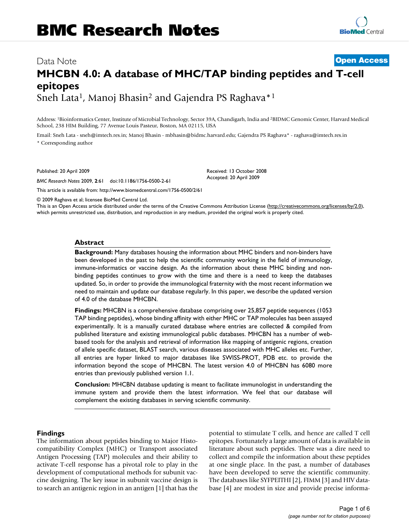# Data Note **[Open Access](http://www.biomedcentral.com/info/about/charter/) MHCBN 4.0: A database of MHC/TAP binding peptides and T-cell epitopes** Sneh Lata<sup>1</sup>, Manoj Bhasin<sup>2</sup> and Gajendra PS Raghava<sup>\*1</sup>

Address: 1Bioinformatics Center, Institute of Microbial Technology, Sector 39A, Chandigarh, India and 2BIDMC Genomic Center, Harvard Medical School, 238 HIM Building, 77 Avenue Louis Pasteur, Boston, MA 02115, USA

> Received: 13 October 2008 Accepted: 20 April 2009

Email: Sneh Lata - sneh@imtech.res.in; Manoj Bhasin - mbhasin@bidmc.harvard.edu; Gajendra PS Raghava\* - raghava@imtech.res.in \* Corresponding author

Published: 20 April 2009

*BMC Research Notes* 2009, **2**:61 doi:10.1186/1756-0500-2-61

[This article is available from: http://www.biomedcentral.com/1756-0500/2/61](http://www.biomedcentral.com/1756-0500/2/61)

© 2009 Raghava et al; licensee BioMed Central Ltd.

This is an Open Access article distributed under the terms of the Creative Commons Attribution License [\(http://creativecommons.org/licenses/by/2.0\)](http://creativecommons.org/licenses/by/2.0), which permits unrestricted use, distribution, and reproduction in any medium, provided the original work is properly cited.

### **Abstract**

**Background:** Many databases housing the information about MHC binders and non-binders have been developed in the past to help the scientific community working in the field of immunology, immune-informatics or vaccine design. As the information about these MHC binding and nonbinding peptides continues to grow with the time and there is a need to keep the databases updated. So, in order to provide the immunological fraternity with the most recent information we need to maintain and update our database regularly. In this paper, we describe the updated version of 4.0 of the database MHCBN.

**Findings:** MHCBN is a comprehensive database comprising over 25,857 peptide sequences (1053 TAP binding peptides), whose binding affinity with either MHC or TAP molecules has been assayed experimentally. It is a manually curated database where entries are collected & compiled from published literature and existing immunological public databases. MHCBN has a number of webbased tools for the analysis and retrieval of information like mapping of antigenic regions, creation of allele specific dataset, BLAST search, various diseases associated with MHC alleles etc. Further, all entries are hyper linked to major databases like SWISS-PROT, PDB etc. to provide the information beyond the scope of MHCBN. The latest version 4.0 of MHCBN has 6080 more entries than previously published version 1.1.

**Conclusion:** MHCBN database updating is meant to facilitate immunologist in understanding the immune system and provide them the latest information. We feel that our database will complement the existing databases in serving scientific community.

#### **Findings**

The information about peptides binding to Major Histocompatibility Complex (MHC) or Transport associated Antigen Processing (TAP) molecules and their ability to activate T-cell response has a pivotal role to play in the development of computational methods for subunit vaccine designing. The key issue in subunit vaccine design is to search an antigenic region in an antigen [[1](#page-4-0)] that has the potential to stimulate T cells, and hence are called T cell epitopes. Fortunately a large amount of data is available in literature about such peptides. There was a dire need to collect and compile the information about these peptides at one single place. In the past, a number of databases have been developed to serve the scientific community. The databases like SYFPEITHI [\[2\]](#page-4-1), FIMM [\[3\]](#page-4-2) and HIV database [\[4\]](#page-4-3) are modest in size and provide precise informa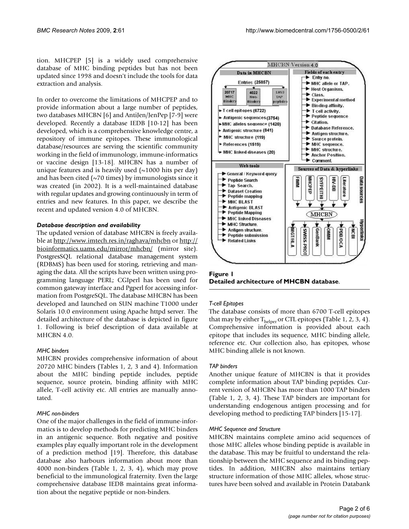tion. MHCPEP [\[5\]](#page-4-4) is a widely used comprehensive database of MHC binding peptides but has not been updated since 1998 and doesn't include the tools for data extraction and analysis.

In order to overcome the limitations of MHCPEP and to provide information about a large number of peptides, two databases MHCBN [[6](#page-4-5)] and AntiJen/JenPep [[7](#page-4-6)[-9\]](#page-4-7) were developed. Recently a database IEDB [[10-](#page-4-8)[12](#page-4-9)] has been developed, which is a comprehensive knowledge centre, a repository of immune epitopes. These immunological database/resources are serving the scientific community working in the field of immunology, immune-informatics or vaccine design [\[13](#page-4-10)[-18](#page-5-0)]. MHCBN has a number of unique features and is heavily used  $(\sim 1000$  hits per day) and has been cited ( $\sim$ 70 times) by immunologists since it was created (in 2002). It is a well-maintained database with regular updates and growing continuously in term of entries and new features. In this paper, we describe the recent and updated version 4.0 of MHCBN.

### *Database description and availability*

The updated version of database MHCBN is freely available at<http://www.imtech.res.in/raghava/mhcbn>or [http://](http://bioinformatics.uams.edu/mirror/mhcbn/) [bioinformatics.uams.edu/mirror/mhcbn/](http://bioinformatics.uams.edu/mirror/mhcbn/) (mirror site). PostgresSQL relational database management system (RDBMS) has been used for storing, retrieving and managing the data. All the scripts have been written using programming language PERL; CGIperl has been used for common gateway interface and Pgperl for accessing information from PostgreSQL. The database MHCBN has been developed and launched on SUN machine T1000 under Solaris 10.0 environment using Apache httpd server. The detailed architecture of the database is depicted in figure [1.](#page-1-0) Following is brief description of data available at MHCBN 4.0.

### *MHC binders*

MHCBN provides comprehensive information of about 20720 MHC binders (Tables [1](#page-2-0), [2](#page-2-1), [3](#page-3-0) and [4\)](#page-3-1). Information about the MHC binding peptide includes, peptide sequence, source protein, binding affinity with MHC allele, T-cell activity etc. All entries are manually annotated.

### *MHC non-binders*

One of the major challenges in the field of immune-informatics is to develop methods for predicting MHC binders in an antigenic sequence. Both negative and positive examples play equally important role in the development of a prediction method [\[19](#page-5-1)]. Therefore, this database database also harbours information about more than 4000 non-binders (Table [1](#page-2-0), [2](#page-2-1), [3](#page-3-0), [4\)](#page-3-1), which may prove beneficial to the immunological fraternity. Even the large comprehensive database IEDB maintains great information about the negative peptide or non-binders.

<span id="page-1-0"></span>

**Figure 1 Detailed architecture of MHCBN database**.

### *T-cell Epitopes*

The database consists of more than 6700 T-cell epitopes that may by either  $T_{helper}$  or CTL epitopes (Table [1,](#page-2-0) [2,](#page-2-1) [3,](#page-3-0) [4\)](#page-3-1). Comprehensive information is provided about each epitope that includes its sequence, MHC binding allele, reference etc. Our collection also, has epitopes, whose MHC binding allele is not known.

### *TAP binders*

Another unique feature of MHCBN is that it provides complete information about TAP binding peptides. Current version of MHCBN has more than 1000 TAP binders (Table [1](#page-2-0), [2](#page-2-1), [3,](#page-3-0) [4\)](#page-3-1). These TAP binders are important for understanding endogenous antigen processing and for developing method to predicting TAP binders [\[15](#page-4-11)[-17\]](#page-5-2).

### *MHC Sequence and Structure*

MHCBN maintains complete amino acid sequences of those MHC alleles whose binding peptide is available in the database. This may be fruitful to understand the relationship between the MHC sequence and its binding peptides. In addition, MHCBN also maintains tertiary structure information of those MHC alleles, whose structures have been solved and available in Protein Databank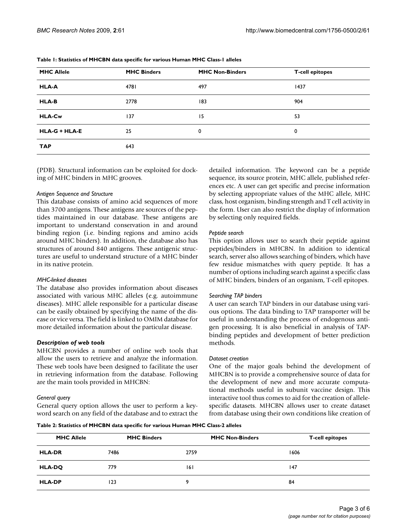| <b>MHC Allele</b>    | <b>MHC Binders</b> | <b>MHC Non-Binders</b> | <b>T-cell epitopes</b> |
|----------------------|--------------------|------------------------|------------------------|
| <b>HLA-A</b>         | 4781               | 497                    | 1437                   |
| <b>HLA-B</b>         | 2778               | 183                    | 904                    |
| <b>HLA-Cw</b>        | 137                | 15                     | 53                     |
| <b>HLA-G + HLA-E</b> | 25                 | 0                      | 0                      |
| <b>TAP</b>           | 643                |                        |                        |

<span id="page-2-0"></span>**Table 1: Statistics of MHCBN data specific for various Human MHC Class-1 alleles**

(PDB). Structural information can be exploited for docking of MHC binders in MHC grooves.

### *Antigen Sequence and Structure*

This database consists of amino acid sequences of more than 3700 antigens. These antigens are sources of the peptides maintained in our database. These antigens are important to understand conservation in and around binding region (i.e. binding regions and amino acids around MHC binders). In addition, the database also has structures of around 840 antigens. These antigenic structures are useful to understand structure of a MHC binder in its native protein.

## *MHC-linked diseases*

The database also provides information about diseases associated with various MHC alleles (e.g. autoimmune diseases). MHC allele responsible for a particular disease can be easily obtained by specifying the name of the disease or vice versa. The field is linked to OMIM database for more detailed information about the particular disease.

## *Description of web tools*

MHCBN provides a number of online web tools that allow the users to retrieve and analyze the information. These web tools have been designed to facilitate the user in retrieving information from the database. Following are the main tools provided in MHCBN:

## *General query*

General query option allows the user to perform a keyword search on any field of the database and to extract the detailed information. The keyword can be a peptide sequence, its source protein, MHC allele, published references etc. A user can get specific and precise information by selecting appropriate values of the MHC allele, MHC class, host organism, binding strength and T cell activity in the form. User can also restrict the display of information by selecting only required fields.

# *Peptide search*

This option allows user to search their peptide against peptides/binders in MHCBN. In addition to identical search, server also allows searching of binders, which have few residue mismatches with query peptide. It has a number of options including search against a specific class of MHC binders, binders of an organism, T-cell epitopes.

## *Searching TAP binders*

A user can search TAP binders in our database using various options. The data binding to TAP transporter will be useful in understanding the process of endogenous antigen processing. It is also beneficial in analysis of TAPbinding peptides and development of better prediction methods.

## *Dataset creation*

One of the major goals behind the development of MHCBN is to provide a comprehensive source of data for the development of new and more accurate computational methods useful in subunit vaccine design. This interactive tool thus comes to aid for the creation of allelespecific datasets. MHCBN allows user to create dataset from database using their own conditions like creation of

<span id="page-2-1"></span>**Table 2: Statistics of MHCBN data specific for various Human MHC Class-2 alleles**

| <b>MHC Allele</b> | <b>MHC Binders</b> | <b>MHC Non-Binders</b> | <b>T-cell epitopes</b> |
|-------------------|--------------------|------------------------|------------------------|
| <b>HLA-DR</b>     | 7486               | 2759                   | 1606                   |
| <b>HLA-DQ</b>     | 779                | 6                      | 147                    |
| <b>HLA-DP</b>     | 123                | ۰                      | 84                     |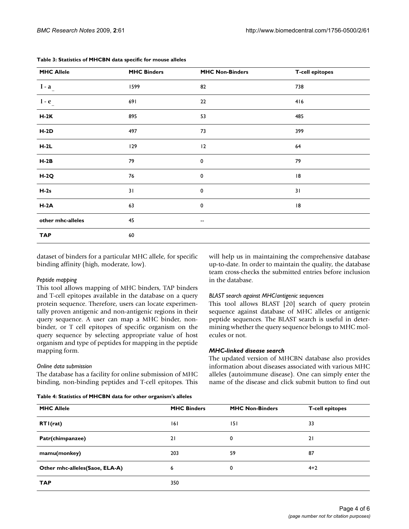| <b>MHC Allele</b> | <b>MHC Binders</b> | <b>MHC Non-Binders</b> | <b>T-cell epitopes</b> |
|-------------------|--------------------|------------------------|------------------------|
| $I - a$           | 1599               | 82                     | 738                    |
| $1-e$             | 691                | 22                     | 416                    |
| $H-2K$            | 895                | 53                     | 485                    |
| $H-2D$            | 497                | 73                     | 399                    |
| $H-2L$            | 129                | 12                     | 64                     |
| $H-2B$            | 79                 | $\mathbf 0$            | 79                     |
| $H-2Q$            | 76                 | $\mathbf 0$            | 8                      |
| $H-2s$            | 31                 | 0                      | 31                     |
| $H-2A$            | 63                 | 0                      | 8                      |
| other mhc-alleles | 45                 | --                     |                        |
| <b>TAP</b>        | 60                 |                        |                        |

#### <span id="page-3-0"></span>**Table 3: Statistics of MHCBN data specific for mouse alleles**

dataset of binders for a particular MHC allele, for specific binding affinity (high, moderate, low).

### *Peptide mapping*

This tool allows mapping of MHC binders, TAP binders and T-cell epitopes available in the database on a query protein sequence. Therefore, users can locate experimentally proven antigenic and non-antigenic regions in their query sequence. A user can map a MHC binder, nonbinder, or T cell epitopes of specific organism on the query sequence by selecting appropriate value of host organism and type of peptides for mapping in the peptide mapping form.

### *Online data submission*

The database has a facility for online submission of MHC binding, non-binding peptides and T-cell epitopes. This will help us in maintaining the comprehensive database up-to-date. In order to maintain the quality, the database team cross-checks the submitted entries before inclusion in the database.

### *BLAST search against MHC/antigenic sequences*

This tool allows BLAST [[20\]](#page-5-3) search of query protein sequence against database of MHC alleles or antigenic peptide sequences. The BLAST search is useful in determining whether the query sequence belongs to MHC molecules or not.

### *MHC-linked disease search*

The updated version of MHCBN database also provides information about diseases associated with various MHC alleles (autoimmune disease). One can simply enter the name of the disease and click submit button to find out

#### <span id="page-3-1"></span>**Table 4: Statistics of MHCBN data for other organism's alleles**

| <b>MHC Allele</b>              | <b>MHC Binders</b> | <b>MHC Non-Binders</b> | <b>T-cell epitopes</b> |  |  |
|--------------------------------|--------------------|------------------------|------------------------|--|--|
| RTI(rat)                       | 6                  | 151                    | 33                     |  |  |
| Patr(chimpanzee)               | 21                 | 0                      | 21                     |  |  |
| mamu(monkey)                   | 203                | 59                     | 87                     |  |  |
| Other mhc-alleles(Saoe, ELA-A) | 6                  | 0                      | $4 + 2$                |  |  |
| <b>TAP</b>                     | 350                |                        |                        |  |  |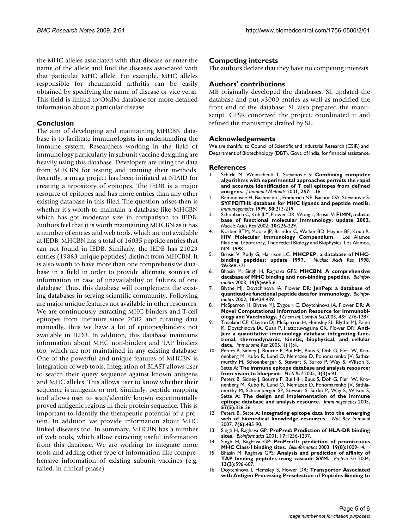the MHC alleles associated with that disease or enter the name of the allele and find the diseases associated with that particular MHC allele. For example, MHC alleles responsible for rheumatoid arthritis can be easily obtained by specifying the name of disease or vice versa. This field is linked to OMIM database for more detailed information about a particular disease.

### **Conclusion**

The aim of developing and maintaining MHCBN database is to facilitate immunologists in understanding the immune system. Researchers working in the field of immunology particularly in subunit vaccine designing are heavily using this database. Developers are using the data from MHCBN for testing and training their methods. Recently, a mega project has been initiated at NIAID for creating a repository of epitopes. The IEDB is a major resource of epitopes and has more entries than any other existing database in this filed. The question arises then is whether it's worth to maintain a database like MHCBN which has got moderate size in comparison to IEDB. Authors feel that it is worth maintaining MHCBN as it has a number of entries and web tools, which are not available at IEDB. MHCBN has a total of 16035 peptide entries that can not found in IEDB. Similarly, the IEDB has 21029 entries (19883 unique peptides) distinct from MHCBN. It is also worth to have more than one comprehensive database in a field in order to provide alternate sources of information in case of unavailability or failures of one database. Thus, this database will complement the existing databases in serving scientific community. Following are major unique features not available in other resources. We are continuously extracting MHC binders and T-cell epitopes from literature since 2002 and curating data manually, thus we have a lot of epitopes/binders not available in IEDB. In addition, this database maintains information about MHC non-binders and TAP binders too, which are not maintained in any existing database. One of the powerful and unique features of MHCBN is integration of web tools. Integration of BLAST allows user to search their query sequence against known antigens and MHC alleles. This allows user to know whether their sequence is antigenic or not. Similarly, peptide mapping tool allows user to scan/identify known experimentally proved antigenic regions in their protein sequence. This is important to identify the therapeutic potential of a protein. In addition we provide information about MHC linked diseases too. In summary, MHCBN has a number of web tools, which allow extracting useful information from this database. We are working to integrate more tools and adding other type of information like comprehensive information of existing subunit vaccines (e.g. failed, in clinical phase).

#### **Competing interests**

The authors declare that they have no competing interests.

#### **Authors' contributions**

MB originally developed the databases. SL updated the database and put >3000 entries as well as modified the front end of the database. SL also prepared the manuscript. GPSR conceived the project, coordinated it and refined the manuscript drafted by SL.

#### **Acknowledgements**

We are thankful to Council of Scientific and Industrial Research (CSIR) and Department of Biotechnology (DBT), Govt. of India, for financial assistance.

#### **References**

- <span id="page-4-0"></span>1. Schirle M, Weinschenk T, Stevanovic S: **[Combining computer](http://www.ncbi.nlm.nih.gov/entrez/query.fcgi?cmd=Retrieve&db=PubMed&dopt=Abstract&list_uids=11687234) [algorithms with experimental approaches permits the rapid](http://www.ncbi.nlm.nih.gov/entrez/query.fcgi?cmd=Retrieve&db=PubMed&dopt=Abstract&list_uids=11687234) and accurate identification of T cell epitopes from defined [antigens.](http://www.ncbi.nlm.nih.gov/entrez/query.fcgi?cmd=Retrieve&db=PubMed&dopt=Abstract&list_uids=11687234)** *J Immunol Methods* 2001, **257:**1-16.
- <span id="page-4-1"></span>2. Rammensee H, Bachmann J, Emmerich NP, Bachor OA, Stevanovic S: **[SYFPEITHI: database for MHC ligands and peptide motifs.](http://www.ncbi.nlm.nih.gov/entrez/query.fcgi?cmd=Retrieve&db=PubMed&dopt=Abstract&list_uids=10602881)** *Immunogenetics* 1999, **50:**213-219.
- <span id="page-4-2"></span>3. Schonbach C, Koh JLY, Flower DR, Wong L, Brusic V: **[FIMM, a data](http://www.ncbi.nlm.nih.gov/entrez/query.fcgi?cmd=Retrieve&db=PubMed&dopt=Abstract&list_uids=11752300)[base of functional molecular immunology: update 2002.](http://www.ncbi.nlm.nih.gov/entrez/query.fcgi?cmd=Retrieve&db=PubMed&dopt=Abstract&list_uids=11752300)** *Nucleic Acids Res* 2002, **30:**226-229.
- <span id="page-4-3"></span>4. Korber BTM, Moore JP, Brander C, Walker BD, Haynes BF, Koup R: **HIV Molecular Immunology Compendium.** Los Alamos National Laboratory, Theoretical Biology and Biophysics, Los Alamos, NM; 1998.
- <span id="page-4-4"></span>5. Brusic V, Rudy G, Harrison LC: **[MHCPEP, a database of MHC](http://www.ncbi.nlm.nih.gov/entrez/query.fcgi?cmd=Retrieve&db=PubMed&dopt=Abstract&list_uids=9399876)[binding peptides: update 1997.](http://www.ncbi.nlm.nih.gov/entrez/query.fcgi?cmd=Retrieve&db=PubMed&dopt=Abstract&list_uids=9399876) 26:**368-371.
- <span id="page-4-5"></span>6. Bhasin M, Singh H, Raghava GPS: **[MHCBN: A comprehensive](http://www.ncbi.nlm.nih.gov/entrez/query.fcgi?cmd=Retrieve&db=PubMed&dopt=Abstract&list_uids=12651731) [database of MHC binding and non-binding peptides.](http://www.ncbi.nlm.nih.gov/entrez/query.fcgi?cmd=Retrieve&db=PubMed&dopt=Abstract&list_uids=12651731)** *Bioinformatics* 2003, **19(5):**665-6.
- <span id="page-4-6"></span>7. Blythe MJ, Doytchinova IA, Flower DR: **[JenPep: a database of](http://www.ncbi.nlm.nih.gov/entrez/query.fcgi?cmd=Retrieve&db=PubMed&dopt=Abstract&list_uids=11934742) [quantitative functional peptide data for immunology.](http://www.ncbi.nlm.nih.gov/entrez/query.fcgi?cmd=Retrieve&db=PubMed&dopt=Abstract&list_uids=11934742)** *Bioinformatics* 2002, **18:**434-439.
- 8. McSparron H, Blythe MJ, Zygouri C, Doytchinova IA, Flower DR: **[A](http://www.ncbi.nlm.nih.gov/entrez/query.fcgi?cmd=Retrieve&db=PubMed&dopt=Abstract&list_uids=12870921) [Novel Computational Information Resource for Immunobi](http://www.ncbi.nlm.nih.gov/entrez/query.fcgi?cmd=Retrieve&db=PubMed&dopt=Abstract&list_uids=12870921)[ology and Vaccinology.](http://www.ncbi.nlm.nih.gov/entrez/query.fcgi?cmd=Retrieve&db=PubMed&dopt=Abstract&list_uids=12870921)** *J Chem Inf Comput Sci* 2003, **43:**1276-1287.
- <span id="page-4-7"></span>9. Toseland CP, Clayton DJ, McSparron H, Hemsley SL, Blythe MJ, Paine K, Doytchinova IA, Guan P, Hattotuwagama CK, Flower DR: **[Anti-](http://www.ncbi.nlm.nih.gov/entrez/query.fcgi?cmd=Retrieve&db=PubMed&dopt=Abstract&list_uids=16305757)[Jen: a quantitative immunology database integrating func](http://www.ncbi.nlm.nih.gov/entrez/query.fcgi?cmd=Retrieve&db=PubMed&dopt=Abstract&list_uids=16305757)tional, thermodynamic, kinetic, biophysical, and cellular [data.](http://www.ncbi.nlm.nih.gov/entrez/query.fcgi?cmd=Retrieve&db=PubMed&dopt=Abstract&list_uids=16305757)** *Immunome Res* 2005, **1(1):**4.
- <span id="page-4-8"></span>10. Peters B, Sidney J, Bourne P, Bui HH, Buus S, Doh G, Fleri W, Kronenberg M, Kubo R, Lund O, Nemazee D, Ponomarenko JV, Sathiamurthy M, Schoenberger S, Stewart S, Surko P, Way S, Wilson S, Sette A: **[The immune epitope database and analysis resource:](http://www.ncbi.nlm.nih.gov/entrez/query.fcgi?cmd=Retrieve&db=PubMed&dopt=Abstract&list_uids=15760272) [from vision to blueprint.](http://www.ncbi.nlm.nih.gov/entrez/query.fcgi?cmd=Retrieve&db=PubMed&dopt=Abstract&list_uids=15760272)** *PLoS Biol* 2005, **3(3):**e91.
- 11. Peters B, Sidney J, Bourne P, Bui HH, Buus S, Doh G, Fleri W, Kronenberg M, Kubo R, Lund O, Nemazee D, Ponomarenko JV, Sathiamurthy M, Schoenberger SP, Stewart S, Surko P, Way S, Wilson S, Sette A: **[The design and implementation of the immune](http://www.ncbi.nlm.nih.gov/entrez/query.fcgi?cmd=Retrieve&db=PubMed&dopt=Abstract&list_uids=15895191) [epitope database and analysis resource.](http://www.ncbi.nlm.nih.gov/entrez/query.fcgi?cmd=Retrieve&db=PubMed&dopt=Abstract&list_uids=15895191)** *Immunogenetics* 2005, **57(5):**326-36.
- <span id="page-4-9"></span>12. Peters B, Sette A: **[Integrating epitope data into the emerging](http://www.ncbi.nlm.nih.gov/entrez/query.fcgi?cmd=Retrieve&db=PubMed&dopt=Abstract&list_uids=17479127) [web of biomedical knowledge resources.](http://www.ncbi.nlm.nih.gov/entrez/query.fcgi?cmd=Retrieve&db=PubMed&dopt=Abstract&list_uids=17479127)** *Nat Rev Immunol* 2007, **7(6):**485-90.
- <span id="page-4-10"></span>13. Singh H, Raghava GP: **[ProPred: Prediction of HLA-DR binding](http://www.ncbi.nlm.nih.gov/entrez/query.fcgi?cmd=Retrieve&db=PubMed&dopt=Abstract&list_uids=11751237) [sites.](http://www.ncbi.nlm.nih.gov/entrez/query.fcgi?cmd=Retrieve&db=PubMed&dopt=Abstract&list_uids=11751237)** *Bioinformatics* 2001, **17:**1236-1237.
- 14. Singh H, Raghava GP: **[ProPred1: prediction of promiscuous](http://www.ncbi.nlm.nih.gov/entrez/query.fcgi?cmd=Retrieve&db=PubMed&dopt=Abstract&list_uids=12761064) [MHC Class-I binding sites.](http://www.ncbi.nlm.nih.gov/entrez/query.fcgi?cmd=Retrieve&db=PubMed&dopt=Abstract&list_uids=12761064)** *Bioinformatics* 2003, **19(8):**1009-14.
- <span id="page-4-11"></span>15. Bhasin M, Raghava GPS: **[Analysis and prediction of affinity of](http://www.ncbi.nlm.nih.gov/entrez/query.fcgi?cmd=Retrieve&db=PubMed&dopt=Abstract&list_uids=14978300) [TAP binding peptides using cascade SVM.](http://www.ncbi.nlm.nih.gov/entrez/query.fcgi?cmd=Retrieve&db=PubMed&dopt=Abstract&list_uids=14978300)** *Protein Sci* 2004, **13(3):**596-607.
- 16. Doytchinova I, Hemsley S, Flower DR: **[Transporter Associated](http://www.ncbi.nlm.nih.gov/entrez/query.fcgi?cmd=Retrieve&db=PubMed&dopt=Abstract&list_uids=15557175) [with Antigen Processing Preselection of Peptides Binding to](http://www.ncbi.nlm.nih.gov/entrez/query.fcgi?cmd=Retrieve&db=PubMed&dopt=Abstract&list_uids=15557175)**